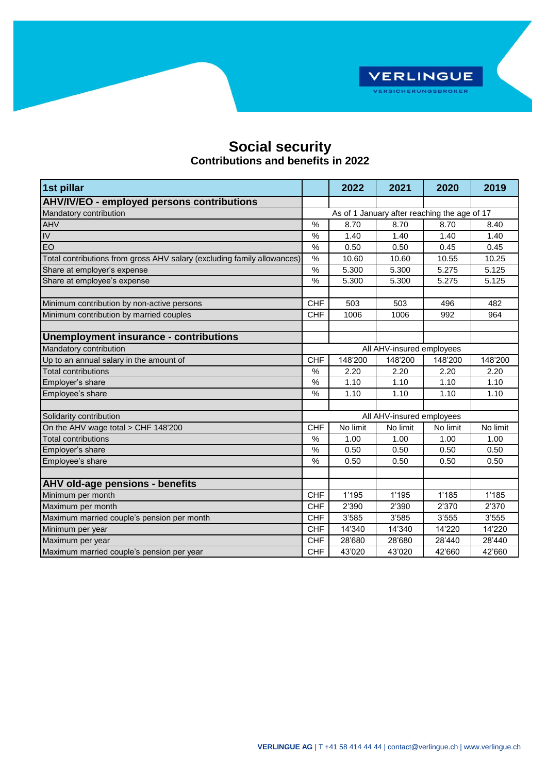

## **Social security Contributions and benefits in 2022**

| 1st pillar                                                              |                                              | 2022                      | 2021     | 2020     | 2019     |  |  |
|-------------------------------------------------------------------------|----------------------------------------------|---------------------------|----------|----------|----------|--|--|
| <b>AHV/IV/EO - employed persons contributions</b>                       |                                              |                           |          |          |          |  |  |
| Mandatory contribution                                                  | As of 1 January after reaching the age of 17 |                           |          |          |          |  |  |
| <b>AHV</b>                                                              | %                                            | 8.70                      | 8.70     | 8.70     | 8.40     |  |  |
| $\overline{IV}$                                                         | $\frac{0}{0}$                                | 1.40                      | 1.40     | 1.40     | 1.40     |  |  |
| EO                                                                      | $\frac{1}{2}$                                | 0.50                      | 0.50     | 0.45     | 0.45     |  |  |
| Total contributions from gross AHV salary (excluding family allowances) | $\%$                                         | 10.60                     | 10.60    | 10.55    | 10.25    |  |  |
| Share at employer's expense                                             | %                                            | 5.300                     | 5.300    | 5.275    | 5.125    |  |  |
| Share at employee's expense                                             | $\%$                                         | 5.300                     | 5.300    | 5.275    | 5.125    |  |  |
| Minimum contribution by non-active persons                              | <b>CHF</b>                                   | 503                       | 503      | 496      | 482      |  |  |
| Minimum contribution by married couples                                 | <b>CHF</b>                                   | 1006                      | 1006     | 992      | 964      |  |  |
|                                                                         |                                              |                           |          |          |          |  |  |
| Unemployment insurance - contributions                                  |                                              |                           |          |          |          |  |  |
| Mandatory contribution                                                  |                                              | All AHV-insured employees |          |          |          |  |  |
| Up to an annual salary in the amount of                                 | <b>CHF</b>                                   | 148'200                   | 148'200  | 148'200  | 148'200  |  |  |
| <b>Total contributions</b>                                              | $\frac{0}{0}$                                | 2.20                      | 2.20     | 2.20     | 2.20     |  |  |
| Employer's share                                                        | $\%$                                         | 1.10                      | 1.10     | 1.10     | 1.10     |  |  |
| Employee's share                                                        | %                                            | 1.10                      | 1.10     | 1.10     | 1.10     |  |  |
| Solidarity contribution                                                 | All AHV-insured employees                    |                           |          |          |          |  |  |
| On the AHV wage total > CHF 148'200                                     | <b>CHF</b>                                   | No limit                  | No limit | No limit | No limit |  |  |
| Total contributions                                                     | $\frac{0}{0}$                                | 1.00                      | 1.00     | 1.00     | 1.00     |  |  |
| Employer's share                                                        | %                                            | 0.50                      | 0.50     | 0.50     | 0.50     |  |  |
| Employee's share                                                        | %                                            | 0.50                      | 0.50     | 0.50     | 0.50     |  |  |
|                                                                         |                                              |                           |          |          |          |  |  |
| AHV old-age pensions - benefits                                         |                                              |                           |          |          |          |  |  |
| Minimum per month                                                       | <b>CHF</b>                                   | 1'195                     | 1'195    | 1'185    | 1'185    |  |  |
| Maximum per month                                                       | <b>CHF</b>                                   | 2'390                     | 2'390    | 2'370    | 2'370    |  |  |
| Maximum married couple's pension per month                              | <b>CHF</b>                                   | 3'585                     | 3'585    | 3'555    | 3'555    |  |  |
| Minimum per year                                                        | <b>CHF</b><br><b>CHF</b>                     | 14'340                    | 14'340   | 14'220   | 14'220   |  |  |
| Maximum per year                                                        |                                              | 28'680                    | 28'680   | 28'440   | 28'440   |  |  |
| Maximum married couple's pension per year                               | <b>CHF</b>                                   | 43'020                    | 43'020   | 42'660   | 42'660   |  |  |